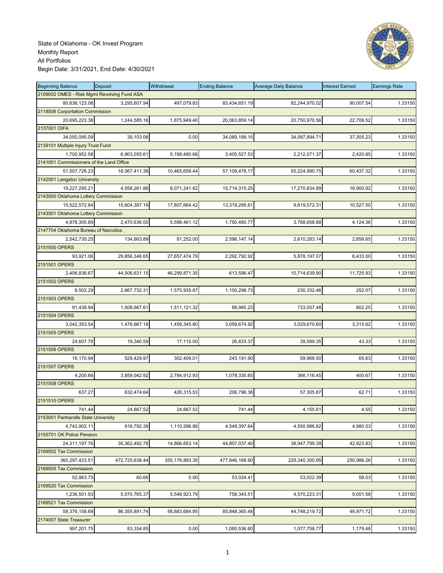

| <b>Beginning Balance</b>                    | <b>Deposit</b> | Withdrawal     | <b>Ending Balance</b> | <b>Average Daily Balance</b> | <b>Interest Earned</b> | <b>Earnings Rate</b> |
|---------------------------------------------|----------------|----------------|-----------------------|------------------------------|------------------------|----------------------|
| 2109002 OMES - Risk Mgmt Revolving Fund ASA |                |                |                       |                              |                        |                      |
| 80,636,123.08                               | 3,295,607.94   | 497,079.83     | 83,434,651.19         | 82,244,970.02                | 90,007.54              | 1.33150              |
| 2118506 Corportation Commission             |                |                |                       |                              |                        |                      |
| 20,695,223.38                               | 1,244,585.16   | 1,875,949.40   | 20,063,859.14         | 20,750,970.56                | 22,709.52              | 1.33150              |
| 2137001 OIFA                                |                |                |                       |                              |                        |                      |
| 34,050,095.09                               | 39,103.06      | 0.00           | 34,089,198.15         | 34,087,894.71                | 37,305.23              | 1.33150              |
| 2139101 Multiple Injury Trust Fund          |                |                |                       |                              |                        |                      |
| 1,700,952.58                                | 6,903,055.61   | 5,198,480.66   | 3,405,527.53          | 2,212,071.37                 | 2,420.85               | 1.33150              |
| 2141001 Commissioners of the Land Office    |                |                |                       |                              |                        |                      |
| 51,507,726.23                               | 16,067,411.38  | 10,465,659.44  | 57,109,478.17         | 55,224,990.75                | 60,437.32              | 1.33150              |
| 2142001 Langston University                 |                |                |                       |                              |                        |                      |
| 19,227,295.21                               | 4,558,261.86   | 8,071,241.82   | 15,714,315.25         | 17,270,834.89                | 18,900.92              | 1.33150              |
| 2143500 Oklahoma Lottery Commission         |                |                |                       |                              |                        |                      |
| 15,522,572.84                               | 15,604,387.19  | 17,807,664.42  | 13,319,295.61         | 9,619,572.31                 | 10,527.50              | 1.33150              |
| 2143501 Oklahoma Lottery Commission         |                |                |                       |                              |                        |                      |
| 4,878,305.89                                | 2,470,636.00   | 5,598,461.12   | 1,750,480.77          | 3,768,658.88                 | 4,124.36               | 1.33150              |
| 2147704 Oklahoma Bureau of Narcotics        |                |                |                       |                              |                        |                      |
| 2,542,735.25                                | 134,663.89     | 81,252.00      | 2,596,147.14          | 2,610,283.14                 | 2,856.65               | 1.33150              |
| 2151500 OPERS                               |                |                |                       |                              |                        |                      |
| 93,921.06                                   | 29,856,346.65  | 27,657,474.79  | 2,292,792.92          | 5,878,197.07                 | 6,433.00               | 1.33150              |
| 2151501 OPERS                               |                |                |                       |                              |                        |                      |
|                                             |                | 46,299,871.35  |                       |                              |                        |                      |
| 2,406,836.67<br>2151502 OPERS               | 44,506,631.15  |                | 613,596.47            | 10,714,639.90                | 11,725.93              | 1.33150              |
| 8,502.29                                    | 2,667,732.31   | 1,575,935.87   |                       |                              |                        |                      |
|                                             |                |                | 1,100,298.73          | 230,332.46                   | 252.07                 | 1.33150              |
| 2151503 OPERS                               |                |                |                       |                              |                        |                      |
| 91,438.94                                   | 1,508,667.61   | 1,511,121.32   | 88,985.23             | 733,057.48                   | 802.25                 | 1.33150              |
| 2151504 OPERS                               |                |                |                       |                              |                        |                      |
| 3,042,353.54                                | 1,476,667.18   | 1,459,345.80   | 3,059,674.92          | 3,029,670.60                 | 3,315.62               | 1.33150              |
| 2151505 OPERS                               |                |                |                       |                              |                        |                      |
| 24,607.78                                   | 19,340.59      | 17,115.00      | 26,833.37             | 39,589.35                    | 43.33                  | 1.33150              |
| 2151506 OPERS                               |                |                |                       |                              |                        |                      |
| 16,170.94                                   | 529,429.97     | 302,409.01     | 243,191.90            | 59,968.50                    | 65.63                  | 1.33150              |
| 2151507 OPERS                               |                |                |                       |                              |                        |                      |
| 4,200.66                                    | 3,859,042.92   | 2,784,912.93   | 1,078,330.65          | 366,116.45                   | 400.67                 | 1.33150              |
| 2151508 OPERS                               |                |                |                       |                              |                        |                      |
| 637.27                                      | 632,474.64     | 426,315.53     | 206,796.38            | 57,305.87                    | 62.71                  | 1.33150              |
| 2151510 OPERS                               |                |                |                       |                              |                        |                      |
| 741.44                                      | 24,667.52      | 24,667.52      | 741.44                | 4,155.61                     | 4.55                   | 1.33150              |
| 2153001 Panhandle State University          |                |                |                       |                              |                        |                      |
| 4,742,902.11                                | 916,792.39     | 1,110,296.86   | 4,549,397.64          | 4,550,986.82                 | 4,980.53               | 1.33150              |
| 2155701 OK Police Pension                   |                |                |                       |                              |                        |                      |
| 24,311,197.76                               | 35,362,492.78  | 14,866,653.14  | 44,807,037.40         | 38,947,799.39                | 42,623.83              | 1.33150              |
| 2169502 Tax Commission                      |                |                |                       |                              |                        |                      |
| 360,297,423.51                              | 472,725,638.44 | 355,176,893.35 | 477,846,168.60        | 229,340,300.95               | 250,986.26             | 1.33150              |
| 2169505 Tax Commission                      |                |                |                       |                              |                        |                      |
| 52,963.75                                   | 60.66          | 0.00           | 53,024.41             | 53,022.39                    | 58.03                  | 1.33150              |
| 2169520 Tax Commission                      |                |                |                       |                              |                        |                      |
| 1,236,501.93                                | 5,070,765.37   | 5,548,923.79   | 758,343.51            | 4,570,223.31                 | 5,001.58               | 1.33150              |
| 2169521 Tax Commission                      |                |                |                       |                              |                        |                      |
| 58,376,158.69                               | 86,355,891.74  | 58,883,684.95  | 85,848,365.48         | 44,748,219.72                | 48,971.72              | 1.33150              |
| 2174007 State Treasurer                     |                |                |                       |                              |                        |                      |
| 997,201.75                                  | 83,334.85      | 0.00           | 1,080,536.60          | 1,077,758.77                 | 1,179.48               | 1.33150              |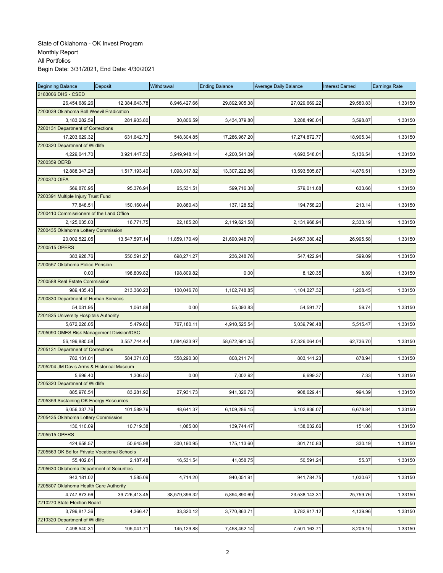| <b>Beginning Balance</b>                     | Deposit       | Withdrawal    | <b>Ending Balance</b> | <b>Average Daily Balance</b> | <b>Interest Earned</b> | <b>Earnings Rate</b> |
|----------------------------------------------|---------------|---------------|-----------------------|------------------------------|------------------------|----------------------|
| 2183006 DHS - CSED                           |               |               |                       |                              |                        |                      |
| 26,454,689.26                                | 12,384,643.78 | 8,946,427.66  | 29,892,905.38         | 27,029,669.22                | 29,580.83              | 1.33150              |
| 7200039 Oklahoma Boll Weevil Eradication     |               |               |                       |                              |                        |                      |
| 3,183,282.59                                 | 281,903.80    | 30,806.59     | 3,434,379.80          | 3,288,490.04                 | 3,598.87               | 1.33150              |
| 7200131 Department of Corrections            |               |               |                       |                              |                        |                      |
| 17,203,629.32                                | 631,642.73    | 548,304.85    | 17,286,967.20         | 17,274,872.77                | 18,905.34              | 1.33150              |
| 7200320 Department of Wildlife               |               |               |                       |                              |                        |                      |
| 4,229,041.70                                 | 3,921,447.53  | 3,949,948.14  | 4,200,541.09          | 4,693,548.01                 | 5,136.54               | 1.33150              |
| 7200359 OERB                                 |               |               |                       |                              |                        |                      |
| 12,888,347.28                                | 1,517,193.40  | 1,098,317.82  | 13,307,222.86         | 13,593,505.87                | 14,876.51              | 1.33150              |
| 7200370 OIFA                                 |               |               |                       |                              |                        |                      |
| 569,870.95                                   | 95,376.94     | 65,531.51     | 599,716.38            | 579,011.68                   | 633.66                 | 1.33150              |
| 7200391 Multiple Injury Trust Fund           |               |               |                       |                              |                        |                      |
| 77,848.51                                    | 150,160.44    | 90,880.43     | 137,128.52            | 194,758.20                   | 213.14                 | 1.33150              |
| 7200410 Commissioners of the Land Office     |               |               |                       |                              |                        |                      |
| 2,125,035.03                                 | 16,771.75     | 22,185.20     | 2,119,621.58          | 2,131,968.94                 | 2,333.19               | 1.33150              |
| 7200435 Oklahoma Lottery Commission          |               |               |                       |                              |                        |                      |
| 20,002,522.05                                | 13,547,597.14 | 11,859,170.49 | 21,690,948.70         | 24,667,380.42                | 26,995.58              | 1.33150              |
| 7200515 OPERS                                |               |               |                       |                              |                        |                      |
| 383,928.76                                   | 550,591.27    | 698,271.27    | 236,248.76            | 547,422.94                   | 599.09                 | 1.33150              |
| 7200557 Oklahoma Police Pension              |               |               |                       |                              |                        |                      |
| 0.00                                         | 198.809.82    | 198,809.82    | 0.00                  | 8,120.35                     | 8.89                   | 1.33150              |
| 7200588 Real Estate Commission               |               |               |                       |                              |                        |                      |
| 989,435.40                                   | 213,360.23    | 100,046.78    | 1,102,748.85          | 1,104,227.32                 | 1,208.45               | 1.33150              |
| 7200830 Department of Human Services         |               |               |                       |                              |                        |                      |
| 54,031.95                                    | 1,061.88      | 0.00          | 55,093.83             | 54,591.77                    | 59.74                  | 1.33150              |
| 7201825 University Hospitals Authority       |               |               |                       |                              |                        |                      |
| 5,672,226.05                                 | 5,479.60      | 767,180.11    | 4,910,525.54          | 5,039,796.48                 | 5,515.47               | 1.33150              |
| 7205090 OMES Risk Management Division/DSC    |               |               |                       |                              |                        |                      |
| 56,199,880.58                                | 3,557,744.44  | 1,084,633.97  | 58,672,991.05         | 57,326,064.04                | 62,736.70              | 1.33150              |
| 7205131 Department of Corrections            |               |               |                       |                              |                        |                      |
| 782,131.01                                   | 584,371.03    | 558,290.30    | 808,211.74            | 803,141.23                   | 878.94                 | 1.33150              |
| 7205204 JM Davis Arms & Historical Museum    |               |               |                       |                              |                        |                      |
| 5,696.40                                     | 1,306.52      | 0.00          | 7,002.92              | 6,699.37                     | 7.33                   | 1.33150              |
| 7205320 Department of Wildlife               |               |               |                       |                              |                        |                      |
| 885,976.54                                   | 83,281.92     |               |                       |                              | 994.39                 | 1.33150              |
| 7205359 Sustaining OK Energy Resources       |               | 27,931.73     | 941,326.73            | 908,629.41                   |                        |                      |
| 6,056,337.76                                 | 101,589.76    | 48,641.37     |                       | 6,102,836.07                 | 6,678.84               |                      |
| 7205435 Oklahoma Lottery Commission          |               |               | 6,109,286.15          |                              |                        | 1.33150              |
|                                              |               |               |                       |                              |                        |                      |
| 130,110.09                                   | 10,719.38     | 1,085.00      | 139,744.47            | 138,032.66                   | 151.06                 | 1.33150              |
| 7205515 OPERS                                |               |               |                       |                              |                        |                      |
| 424,658.57                                   | 50,645.98     | 300,190.95    | 175,113.60            | 301,710.83                   | 330.19                 | 1.33150              |
| 7205563 OK Bd for Private Vocational Schools |               |               |                       |                              |                        |                      |
| 55,402.81                                    | 2,187.48      | 16,531.54     | 41,058.75             | 50,591.24                    | 55.37                  | 1.33150              |
| 7205630 Oklahoma Department of Securities    |               |               |                       |                              |                        |                      |
| 943,181.02                                   | 1,585.09      | 4,714.20      | 940.051.91            | 941,784.75                   | 1,030.67               | 1.33150              |
| 7205807 Oklahoma Health Care Authority       |               |               |                       |                              |                        |                      |
| 4,747,873.56                                 | 39,726,413.45 | 38,579,396.32 | 5,894,890.69          | 23,538,143.31                | 25,759.76              | 1.33150              |
| 7210270 State Election Board                 |               |               |                       |                              |                        |                      |
| 3,799,817.36                                 | 4,366.47      | 33,320.12     | 3,770,863.71          | 3,782,917.12                 | 4,139.96               | 1.33150              |
| 7210320 Department of Wildlife               |               |               |                       |                              |                        |                      |
| 7,498,540.31                                 | 105,041.71    | 145,129.88    | 7,458,452.14          | 7,501,163.71                 | 8,209.15               | 1.33150              |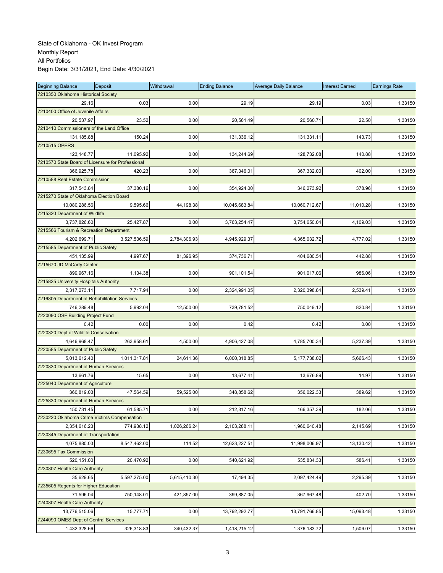| <b>Beginning Balance</b>                          | Deposit      | Withdrawal   | <b>Ending Balance</b> | <b>Average Daily Balance</b> | <b>Interest Earned</b> | <b>Earnings Rate</b> |
|---------------------------------------------------|--------------|--------------|-----------------------|------------------------------|------------------------|----------------------|
| 7210350 Oklahoma Historical Society               |              |              |                       |                              |                        |                      |
| 29.16                                             | 0.03         | 0.00         | 29.19                 | 29.19                        | 0.03                   | 1.33150              |
| 7210400 Office of Juvenile Affairs                |              |              |                       |                              |                        |                      |
| 20,537.97                                         | 23.52        | 0.00         | 20,561.49             | 20,560.71                    | 22.50                  | 1.33150              |
| 7210410 Commissioners of the Land Office          |              |              |                       |                              |                        |                      |
| 131,185.88                                        | 150.24       | 0.00         | 131,336.12            | 131,331.11                   | 143.73                 | 1.33150              |
| 7210515 OPERS                                     |              |              |                       |                              |                        |                      |
| 123,148.77                                        | 11,095.92    | 0.00         | 134,244.69            | 128,732.08                   | 140.88                 | 1.33150              |
| 7210570 State Board of Licensure for Professional |              |              |                       |                              |                        |                      |
| 366,925.78                                        | 420.23       | 0.00         | 367,346.01            | 367,332.00                   | 402.00                 | 1.33150              |
| 7210588 Real Estate Commission                    |              |              |                       |                              |                        |                      |
| 317,543.84                                        | 37,380.16    | 0.00         | 354,924.00            | 346,273.92                   | 378.96                 | 1.33150              |
| 7215270 State of Oklahoma Election Board          |              |              |                       |                              |                        |                      |
| 10,080,286.56                                     | 9,595.66     | 44,198.38    | 10,045,683.84         | 10,060,712.67                | 11,010.28              | 1.33150              |
| 7215320 Department of Wildlife                    |              |              |                       |                              |                        |                      |
| 3,737,826.60                                      | 25,427.87    | 0.00         | 3,763,254.47          | 3,754,650.04                 | 4,109.03               | 1.33150              |
| 7215566 Tourism & Recreation Department           |              |              |                       |                              |                        |                      |
| 4,202,699.71                                      | 3,527,536.59 | 2,784,306.93 | 4,945,929.37          | 4,365,032.72                 | 4,777.02               | 1.33150              |
| 7215585 Department of Public Safety               |              |              |                       |                              |                        |                      |
| 451,135.99                                        | 4.997.67     | 81,396.95    | 374,736.71            | 404,680.54                   | 442.88                 | 1.33150              |
| 7215670 JD McCarty Center                         |              |              |                       |                              |                        |                      |
| 899,967.16                                        | 1,134.38     | 0.00         | 901,101.54            | 901,017.06                   | 986.06                 | 1.33150              |
| 7215825 University Hospitals Authority            |              |              |                       |                              |                        |                      |
| 2,317,273.11                                      | 7,717.94     | 0.00         | 2,324,991.05          | 2,320,398.84                 | 2.539.41               | 1.33150              |
| 7216805 Department of Rehabilitation Services     |              |              |                       |                              |                        |                      |
| 746,289.48                                        | 5,992.04     | 12,500.00    | 739,781.52            | 750,049.12                   | 820.84                 | 1.33150              |
| 7220090 OSF Building Project Fund                 |              |              |                       |                              |                        |                      |
| 0.42                                              | 0.00         | 0.00         | 0.42                  | 0.42                         | 0.00                   | 1.33150              |
| 7220320 Dept of Wildlife Conservation             |              |              |                       |                              |                        |                      |
| 4,646,968.47                                      | 263,958.61   | 4,500.00     | 4,906,427.08          | 4,785,700.34                 | 5,237.39               | 1.33150              |
| 7220585 Department of Public Safety               |              |              |                       |                              |                        |                      |
| 5,013,612.40                                      | 1,011,317.81 | 24,611.36    | 6,000,318.85          | 5, 177, 738.02               | 5,666.43               | 1.33150              |
| 7220830 Department of Human Services              |              |              |                       |                              |                        |                      |
| 13,661.76                                         | 15.65        | 0.00         | 13,677.41             | 13,676.89                    | 14.97                  | 1.33150              |
| 7225040 Department of Agriculture                 |              |              |                       |                              |                        |                      |
| 360,819.03                                        | 47,564.59    | 59,525.00    | 348,858.62            | 356,022.33                   | 389.62                 | 1.33150              |
| 7225830 Department of Human Services              |              |              |                       |                              |                        |                      |
| 150,731.45                                        | 61,585.71    | 0.00         | 212,317.16            | 166,357.39                   | 182.06                 | 1.33150              |
| 7230220 Oklahoma Crime Victims Compensation       |              |              |                       |                              |                        |                      |
| 2,354,616.23                                      | 774,938.12   | 1,026,266.24 | 2,103,288.11          | 1,960,640.48                 | 2,145.69               | 1.33150              |
| 7230345 Department of Transportation              |              |              |                       |                              |                        |                      |
| 4,075,880.03                                      | 8,547,462.00 | 114.52       | 12,623,227.51         | 11,998,006.97                | 13,130.42              | 1.33150              |
| 7230695 Tax Commission                            |              |              |                       |                              |                        |                      |
| 520,151.00                                        | 20,470.92    | 0.00         | 540,621.92            | 535,834.33                   | 586.41                 | 1.33150              |
| 7230807 Health Care Authority                     |              |              |                       |                              |                        |                      |
| 35,629.65                                         | 5,597,275.00 | 5,615,410.30 | 17,494.35             | 2,097,424.49                 | 2,295.39               | 1.33150              |
| 7235605 Regents for Higher Education              |              |              |                       |                              |                        |                      |
| 71,596.04                                         | 750,148.01   | 421,857.00   | 399,887.05            | 367,967.48                   | 402.70                 | 1.33150              |
| 7240807 Health Care Authority                     |              |              |                       |                              |                        |                      |
| 13,776,515.06                                     | 15,777.71    | 0.00         | 13,792,292.77         | 13,791,766.85                | 15,093.48              | 1.33150              |
| 7244090 OMES Dept of Central Services             |              |              |                       |                              |                        |                      |
| 1,432,328.66                                      | 326,318.83   | 340,432.37   | 1,418,215.12          | 1,376,183.72                 | 1,506.07               | 1.33150              |
|                                                   |              |              |                       |                              |                        |                      |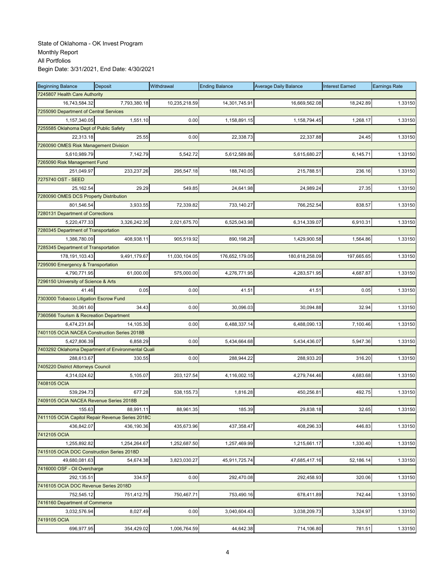| <b>Beginning Balance</b>                     | Deposit                                            | Withdrawal    | <b>Ending Balance</b> | <b>Average Daily Balance</b> | <b>Interest Earned</b> | <b>Earnings Rate</b> |
|----------------------------------------------|----------------------------------------------------|---------------|-----------------------|------------------------------|------------------------|----------------------|
| 7245807 Health Care Authority                |                                                    |               |                       |                              |                        |                      |
| 16,743,584.32                                | 7,793,380.18                                       | 10,235,218.59 | 14,301,745.91         | 16,669,562.08                | 18,242.89              | 1.33150              |
| 7255090 Department of Central Services       |                                                    |               |                       |                              |                        |                      |
| 1,157,340.05                                 | 1,551.10                                           | 0.00          | 1,158,891.15          | 1,158,794.45                 | 1,268.17               | 1.33150              |
| 7255585 Oklahoma Dept of Public Safety       |                                                    |               |                       |                              |                        |                      |
| 22,313.18                                    | 25.55                                              | 0.00          | 22,338.73             | 22,337.88                    | 24.45                  | 1.33150              |
| 7260090 OMES Risk Management Division        |                                                    |               |                       |                              |                        |                      |
| 5,610,989.79                                 | 7,142.79                                           | 5,542.72      | 5,612,589.86          | 5,615,680.27                 | 6,145.71               | 1.33150              |
| 7265090 Risk Management Fund                 |                                                    |               |                       |                              |                        |                      |
| 251,049.97                                   | 233,237.26                                         | 295,547.18    | 188,740.05            | 215,788.51                   | 236.16                 | 1.33150              |
| 7275740 OST - SEED                           |                                                    |               |                       |                              |                        |                      |
| 25,162.54                                    | 29.29                                              | 549.85        | 24,641.98             | 24,989.24                    | 27.35                  | 1.33150              |
| 7280090 OMES DCS Property Distribution       |                                                    |               |                       |                              |                        |                      |
| 801,546.54                                   | 3,933.55                                           | 72,339.82     | 733,140.27            | 766,252.54                   | 838.57                 | 1.33150              |
| 7280131 Department of Corrections            |                                                    |               |                       |                              |                        |                      |
| 5,220,477.33                                 | 3,326,242.35                                       | 2,021,675.70  | 6,525,043.98          | 6,314,339.07                 | 6,910.31               | 1.33150              |
| 7280345 Department of Transportation         |                                                    |               |                       |                              |                        |                      |
| 1,386,780.09                                 | 408.938.11                                         | 905,519.92    | 890,198.28            | 1,429,900.58                 | 1,564.86               | 1.33150              |
| 7285345 Department of Transportation         |                                                    |               |                       |                              |                        |                      |
| 178,191,103.43                               | 9,491,179.67                                       | 11,030,104.05 | 176,652,179.05        | 180,618,258.09               | 197,665.65             | 1.33150              |
| 7295090 Emergency & Transportation           |                                                    |               |                       |                              |                        |                      |
| 4,790,771.95                                 | 61,000.00                                          | 575,000.00    | 4,276,771.95          | 4,283,571.95                 | 4,687.87               | 1.33150              |
| 7296150 University of Science & Arts         |                                                    |               |                       |                              |                        |                      |
| 41.46                                        | 0.05                                               | 0.00          | 41.51                 | 41.51                        | 0.05                   | 1.33150              |
| 7303000 Tobacco Litigation Escrow Fund       |                                                    |               |                       |                              |                        |                      |
| 30,061.60                                    |                                                    |               |                       |                              |                        |                      |
|                                              | 34.43                                              | 0.00          | 30,096.03             | 30,094.88                    | 32.94                  | 1.33150              |
| 7360566 Tourism & Recreation Department      |                                                    |               |                       |                              |                        |                      |
| 6,474,231.84                                 | 14,105.30                                          | 0.00          | 6,488,337.14          | 6,488,090.13                 | 7,100.46               | 1.33150              |
| 7401105 OCIA NACEA Construction Series 2018B |                                                    |               |                       |                              |                        |                      |
| 5,427,806.39                                 | 6,858.29                                           | 0.00          | 5,434,664.68          | 5,434,436.07                 | 5,947.36               | 1.33150              |
|                                              | 7403292 Oklahoma Department of Environmental Quali |               |                       |                              |                        |                      |
| 288,613.67                                   | 330.55                                             | 0.00          | 288,944.22            | 288,933.20                   | 316.20                 | 1.33150              |
| 7405220 District Attorneys Council           |                                                    |               |                       |                              |                        |                      |
| 4,314,024.62                                 | 5,105.07                                           | 203,127.54    | 4,116,002.15          | 4,279,744.46                 | 4,683.68               | 1.33150              |
| 7408105 OCIA                                 |                                                    |               |                       |                              |                        |                      |
| 539,294.73                                   | 677.28                                             | 538,155.73    | 1,816.28              | 450,256.81                   | 492.75                 | 1.33150              |
| 7409105 OCIA NACEA Revenue Series 2018B      |                                                    |               |                       |                              |                        |                      |
| 155.63                                       | 88,991.11                                          | 88,961.35     | 185.39                | 29,838.18                    | 32.65                  | 1.33150              |
|                                              | 7411105 OCIA Capitol Repair Revenue Series 2018C   |               |                       |                              |                        |                      |
| 436,842.07                                   | 436,190.36                                         | 435,673.96    | 437,358.47            | 408,296.33                   | 446.83                 | 1.33150              |
| 7412105 OCIA                                 |                                                    |               |                       |                              |                        |                      |
| 1,255,892.82                                 | 1,254,264.67                                       | 1,252,687.50  | 1,257,469.99          | 1,215,661.17                 | 1,330.40               | 1.33150              |
| 7415105 OCIA DOC Construction Series 2018D   |                                                    |               |                       |                              |                        |                      |
| 49,680,081.63                                | 54,674.38                                          | 3,823,030.27  | 45,911,725.74         | 47,685,417.16                | 52,186.14              | 1.33150              |
| 7416000 OSF - Oil Overcharge                 |                                                    |               |                       |                              |                        |                      |
| 292,135.51                                   | 334.57                                             | 0.00          | 292,470.08            | 292,458.93                   | 320.06                 | 1.33150              |
| 7416105 OCIA DOC Revenue Series 2018D        |                                                    |               |                       |                              |                        |                      |
| 752,545.12                                   | 751,412.75                                         | 750,467.71    | 753,490.16            | 678,411.89                   | 742.44                 | 1.33150              |
| 7416160 Department of Commerce               |                                                    |               |                       |                              |                        |                      |
| 3,032,576.94                                 | 8,027.49                                           | 0.00          | 3,040,604.43          | 3,038,209.73                 | 3,324.97               | 1.33150              |
| 7419105 OCIA                                 |                                                    |               |                       |                              |                        |                      |
| 696,977.95                                   | 354,429.02                                         | 1,006,764.59  | 44,642.38             | 714,106.80                   | 781.51                 | 1.33150              |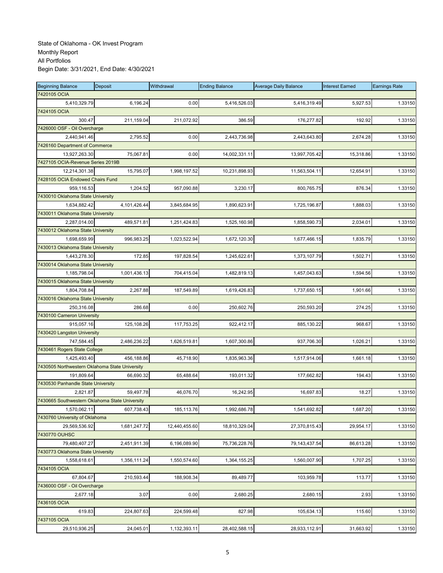| <b>Beginning Balance</b>                         | Deposit      | Withdrawal    | <b>Ending Balance</b> | <b>Average Daily Balance</b> | <b>Interest Earned</b> | <b>Earnings Rate</b> |
|--------------------------------------------------|--------------|---------------|-----------------------|------------------------------|------------------------|----------------------|
| 7420105 OCIA                                     |              |               |                       |                              |                        |                      |
| 5,410,329.79                                     | 6,196.24     | 0.00          | 5,416,526.03          | 5,416,319.49                 | 5,927.53               | 1.33150              |
| 7424105 OCIA                                     |              |               |                       |                              |                        |                      |
| 300.47                                           | 211,159.04   | 211,072.92    | 386.59                | 176,277.82                   | 192.92                 | 1.33150              |
| 7426000 OSF - Oil Overcharge                     |              |               |                       |                              |                        |                      |
| 2,440,941.46                                     | 2,795.52     | 0.00          | 2,443,736.98          | 2,443,643.80                 | 2,674.28               | 1.33150              |
| 7426160 Department of Commerce                   |              |               |                       |                              |                        |                      |
| 13,927,263.30                                    | 75,067.81    | 0.00          | 14,002,331.11         | 13,997,705.42                | 15,318.86              | 1.33150              |
| 7427105 OCIA-Revenue Series 2019B                |              |               |                       |                              |                        |                      |
| 12,214,301.38                                    | 15,795.07    | 1,998,197.52  | 10,231,898.93         | 11,563,504.11                | 12,654.91              | 1.33150              |
| 7428105 OCIA Endowed Chairs Fund                 |              |               |                       |                              |                        |                      |
| 959,116.53                                       | 1,204.52     | 957,090.88    | 3,230.17              | 800,765.75                   | 876.34                 | 1.33150              |
| 7430010 Oklahoma State University                |              |               |                       |                              |                        |                      |
| 1,634,882.42                                     | 4,101,426.44 | 3,845,684.95  | 1,890,623.91          | 1,725,196.87                 | 1,888.03               | 1.33150              |
| 7430011 Oklahoma State University                |              |               |                       |                              |                        |                      |
| 2,287,014.00                                     | 489,571.81   | 1,251,424.83  | 1,525,160.98          | 1,858,590.73                 | 2,034.01               | 1.33150              |
| 7430012 Oklahoma State University                |              |               |                       |                              |                        |                      |
| 1,698,659.99                                     | 996,983.25   | 1,023,522.94  | 1,672,120.30          | 1,677,466.15                 | 1,835.79               | 1.33150              |
| 7430013 Oklahoma State University                |              |               |                       |                              |                        |                      |
| 1,443,278.30                                     | 172.85       | 197,828.54    | 1,245,622.61          | 1,373,107.79                 | 1,502.71               | 1.33150              |
| 7430014 Oklahoma State University                |              |               |                       |                              |                        |                      |
| 1,185,798.04                                     | 1,001,436.13 | 704,415.04    | 1,482,819.13          | 1,457,043.63                 | 1,594.56               | 1.33150              |
| 7430015 Oklahoma State University                |              |               |                       |                              |                        |                      |
| 1,804,708.84                                     | 2,267.88     | 187,549.89    | 1,619,426.83          | 1,737,650.15                 | 1,901.66               | 1.33150              |
| 7430016 Oklahoma State University                |              |               |                       |                              |                        |                      |
| 250,316.08                                       | 286.68       | 0.00          | 250,602.76            | 250,593.20                   | 274.25                 | 1.33150              |
| 7430100 Cameron University                       |              |               |                       |                              |                        |                      |
| 915,057.16                                       | 125,108.26   | 117,753.25    | 922,412.17            | 885,130.22                   | 968.67                 | 1.33150              |
| 7430420 Langston University                      |              |               |                       |                              |                        |                      |
| 747,584.45                                       | 2,486,236.22 | 1,626,519.81  | 1,607,300.86          | 937,706.30                   | 1,026.21               | 1.33150              |
| 7430461 Rogers State College                     |              |               |                       |                              |                        |                      |
| 1,425,493.40                                     | 456,188.86   | 45,718.90     | 1,835,963.36          | 1,517,914.06                 | 1,661.18               | 1.33150              |
| 7430505 Northwestern Oklahoma State University   |              |               |                       |                              |                        |                      |
|                                                  |              | 65,488.64     |                       |                              |                        |                      |
| 191,809.64<br>7430530 Panhandle State University | 66,690.32    |               | 193,011.32            | 177,662.82                   | 194.43                 | 1.33150              |
| 2,821.87                                         | 59,497.78    | 46,076.70     | 16,242.95             | 16,697.83                    | 18.27                  | 1.33150              |
| 7430665 Southwestern Oklahoma State University   |              |               |                       |                              |                        |                      |
|                                                  |              |               |                       |                              |                        |                      |
| 1,570,062.11<br>7430760 University of Oklahoma   | 607,738.43   | 185,113.76    | 1,992,686.78          | 1,541,692.82                 | 1,687.20               | 1.33150              |
| 29,569,536.92                                    | 1,681,247.72 | 12,440,455.60 | 18,810,329.04         | 27,370,815.43                | 29,954.17              | 1.33150              |
| 7430770 OUHSC                                    |              |               |                       |                              |                        |                      |
| 79,480,407.27                                    | 2,451,911.39 | 6,196,089.90  | 75,736,228.76         | 79, 143, 437.54              | 86,613.28              | 1.33150              |
| 7430773 Oklahoma State University                |              |               |                       |                              |                        |                      |
|                                                  |              |               |                       |                              |                        |                      |
| 1,558,618.61                                     | 1,356,111.24 | 1,550,574.60  | 1,364,155.25          | 1,560,007.90                 | 1,707.25               | 1.33150              |
| 7434105 OCIA                                     |              |               |                       |                              |                        |                      |
| 67,804.67                                        | 210,593.44   | 188,908.34    | 89,489.77             | 103,959.78                   | 113.77                 | 1.33150              |
| 7436000 OSF - Oil Overcharge                     |              |               |                       |                              |                        |                      |
| 2,677.18                                         | 3.07         | 0.00          | 2,680.25              | 2,680.15                     | 2.93                   | 1.33150              |
| 7436105 OCIA                                     |              |               |                       |                              |                        |                      |
| 619.83                                           | 224,807.63   | 224,599.48    | 827.98                | 105,634.13                   | 115.60                 | 1.33150              |
| 7437105 OCIA                                     |              |               |                       |                              |                        |                      |
| 29,510,936.25                                    | 24,045.01    | 1,132,393.11  | 28,402,588.15         | 28,933,112.91                | 31,663.92              | 1.33150              |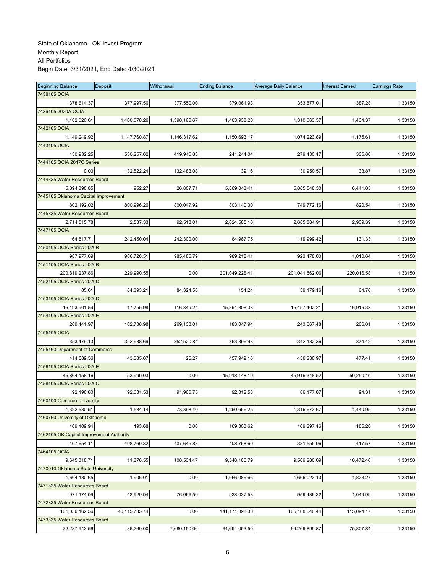| <b>Beginning Balance</b>                 | Deposit          | Withdrawal   | <b>Ending Balance</b> | <b>Average Daily Balance</b> | <b>Interest Earned</b> | <b>Earnings Rate</b> |
|------------------------------------------|------------------|--------------|-----------------------|------------------------------|------------------------|----------------------|
| 7438105 OCIA                             |                  |              |                       |                              |                        |                      |
| 378,614.37                               | 377,997.56       | 377,550.00   | 379,061.93            | 353,877.01                   | 387.28                 | 1.33150              |
| 7439105 2020A OCIA                       |                  |              |                       |                              |                        |                      |
| 1,402,026.61                             | 1,400,078.26     | 1,398,166.67 | 1,403,938.20          | 1,310,663.37                 | 1,434.37               | 1.33150              |
| 7442105 OCIA                             |                  |              |                       |                              |                        |                      |
| 1,149,249.92                             | 1,147,760.87     | 1,146,317.62 | 1,150,693.17          | 1,074,223.89                 | 1,175.61               | 1.33150              |
| 7443105 OCIA                             |                  |              |                       |                              |                        |                      |
| 130,932.25                               | 530,257.62       | 419,945.83   | 241,244.04            | 279,430.17                   | 305.80                 | 1.33150              |
| 7444105 OCIA 2017C Series                |                  |              |                       |                              |                        |                      |
| 0.00                                     | 132,522.24       | 132,483.08   | 39.16                 | 30,950.57                    | 33.87                  | 1.33150              |
| 7444835 Water Resources Board            |                  |              |                       |                              |                        |                      |
| 5,894,898.85                             | 952.27           | 26,807.71    | 5,869,043.41          | 5,885,548.30                 | 6,441.05               | 1.33150              |
| 7445105 Oklahoma Capital Improvement     |                  |              |                       |                              |                        |                      |
| 802,192.02                               | 800,996.20       | 800,047.92   | 803,140.30            | 749,772.16                   | 820.54                 | 1.33150              |
| 7445835 Water Resources Board            |                  |              |                       |                              |                        |                      |
| 2,714,515.78                             | 2,587.33         | 92,518.01    | 2,624,585.10          | 2,685,884.91                 | 2,939.39               | 1.33150              |
| 7447105 OCIA                             |                  |              |                       |                              |                        |                      |
| 64,817.71                                | 242,450.04       | 242,300.00   | 64,967.75             | 119,999.42                   | 131.33                 | 1.33150              |
| 7450105 OCIA Series 2020B                |                  |              |                       |                              |                        |                      |
| 987,977.69                               | 986,726.51       | 985,485.79   | 989,218.41            | 923,478.00                   | 1,010.64               | 1.33150              |
| 7451105 OCIA Series 2020B                |                  |              |                       |                              |                        |                      |
| 200,819,237.86                           | 229,990.55       | 0.00         | 201,049,228.41        | 201,041,562.06               | 220,016.58             | 1.33150              |
| 7452105 OCIA Series 2020D                |                  |              |                       |                              |                        |                      |
| 85.61                                    | 84,393.21        | 84,324.58    | 154.24                | 59,179.16                    | 64.76                  | 1.33150              |
| 7453105 OCIA Series 2020D                |                  |              |                       |                              |                        |                      |
| 15,493,901.59                            | 17,755.98        | 116,849.24   | 15,394,808.33         | 15,457,402.21                | 16,916.33              | 1.33150              |
| 7454105 OCIA Series 2020E                |                  |              |                       |                              |                        |                      |
| 269,441.97                               | 182,738.98       | 269,133.01   | 183,047.94            | 243,067.48                   | 266.01                 | 1.33150              |
| 7455105 OCIA                             |                  |              |                       |                              |                        |                      |
| 353,479.13                               | 352,938.69       | 352,520.84   | 353,896.98            | 342,132.36                   | 374.42                 | 1.33150              |
| 7455160 Department of Commerce           |                  |              |                       |                              |                        |                      |
| 414,589.36                               | 43,385.07        | 25.27        | 457,949.16            | 436,236.97                   | 477.41                 | 1.33150              |
| 7456105 OCIA Series 2020E                |                  |              |                       |                              |                        |                      |
| 45,864,158.16                            | 53,990.03        | 0.00         | 45,918,148.19         | 45,916,348.52                | 50,250.10              | 1.33150              |
| 7458105 OCIA Series 2020C                |                  |              |                       |                              |                        |                      |
| 92,196.80                                | 92,081.53        | 91,965.75    | 92,312.58             | 86,177.67                    | 94.31                  | 1.33150              |
| 7460100 Cameron University               |                  |              |                       |                              |                        |                      |
| 1,322,530.51                             | 1,534.14         | 73,398.40    | 1,250,666.25          | 1,316,673.67                 | 1,440.95               | 1.33150              |
| 7460760 University of Oklahoma           |                  |              |                       |                              |                        |                      |
| 169.109.94                               | 193.68           | 0.00         | 169,303.62            | 169,297.16                   | 185.28                 | 1.33150              |
| 7462105 OK Capital Improvement Authority |                  |              |                       |                              |                        |                      |
| 407,654.11                               | 408,760.32       | 407,645.83   | 408,768.60            | 381,555.06                   | 417.57                 | 1.33150              |
| 7464105 OCIA                             |                  |              |                       |                              |                        |                      |
| 9,645,318.71                             | 11,376.55        | 108,534.47   | 9,548,160.79          | 9,569,280.09                 | 10,472.46              | 1.33150              |
| 7470010 Oklahoma State University        |                  |              |                       |                              |                        |                      |
| 1,664,180.65                             | 1,906.01         | 0.00         | 1,666,086.66          | 1,666,023.13                 | 1,823.27               | 1.33150              |
| 7471835 Water Resources Board            |                  |              |                       |                              |                        |                      |
| 971,174.09                               | 42,929.94        | 76,066.50    | 938,037.53            | 959,436.32                   | 1.049.99               | 1.33150              |
| 7472835 Water Resources Board            |                  |              |                       |                              |                        |                      |
| 101,056,162.56                           | 40, 115, 735. 74 | 0.00         | 141,171,898.30        | 105,168,040.44               | 115,094.17             | 1.33150              |
| 7473835 Water Resources Board            |                  |              |                       |                              |                        |                      |
| 72,287,943.56                            | 86,260.00        | 7,680,150.06 | 64,694,053.50         | 69,269,899.87                | 75,807.84              | 1.33150              |
|                                          |                  |              |                       |                              |                        |                      |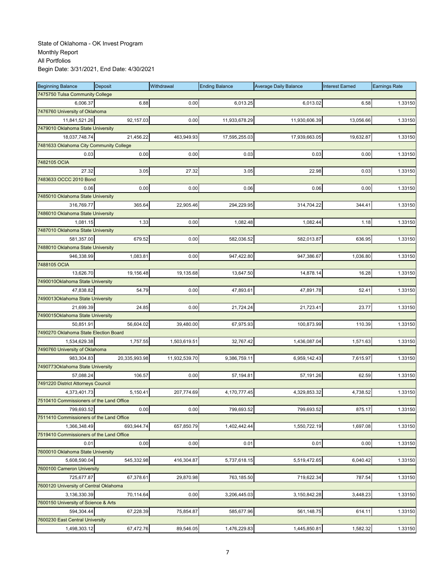| <b>Beginning Balance</b>                 | Deposit       | Withdrawal    | <b>Ending Balance</b> | <b>Average Daily Balance</b> | <b>Interest Earned</b> | <b>Earnings Rate</b> |
|------------------------------------------|---------------|---------------|-----------------------|------------------------------|------------------------|----------------------|
| 7475750 Tulsa Community College          |               |               |                       |                              |                        |                      |
| 6,006.37                                 | 6.88          | 0.00          | 6,013.25              | 6,013.02                     | 6.58                   | 1.33150              |
| 7476760 University of Oklahoma           |               |               |                       |                              |                        |                      |
| 11,841,521.26                            | 92,157.03     | 0.00          | 11,933,678.29         | 11,930,606.39                | 13,056.66              | 1.33150              |
| 7479010 Oklahoma State University        |               |               |                       |                              |                        |                      |
| 18,037,748.74                            | 21,456.22     | 463,949.93    | 17,595,255.03         | 17,939,663.05                | 19,632.87              | 1.33150              |
| 7481633 Oklahoma City Community College  |               |               |                       |                              |                        |                      |
| 0.03                                     | 0.00          | 0.00          | 0.03                  | 0.03                         | 0.00                   | 1.33150              |
| 7482105 OCIA                             |               |               |                       |                              |                        |                      |
| 27.32                                    | 3.05          | 27.32         | 3.05                  | 22.98                        | 0.03                   | 1.33150              |
| 7483633 OCCC 2010 Bond                   |               |               |                       |                              |                        |                      |
| 0.06                                     | 0.00          | 0.00          | 0.06                  | 0.06                         | 0.00                   | 1.33150              |
| 7485010 Oklahoma State University        |               |               |                       |                              |                        |                      |
| 316,769.77                               | 365.64        | 22,905.46     | 294,229.95            | 314,704.22                   | 344.41                 | 1.33150              |
| 7486010 Oklahoma State University        |               |               |                       |                              |                        |                      |
| 1,081.15                                 | 1.33          | 0.00          | 1,082.48              | 1,082.44                     | 1.18                   | 1.33150              |
| 7487010 Oklahoma State University        |               |               |                       |                              |                        |                      |
| 581,357.00                               | 679.52        | 0.00          | 582,036.52            | 582,013.87                   | 636.95                 | 1.33150              |
| 7488010 Oklahoma State University        |               |               |                       |                              |                        |                      |
| 946,338.99                               | 1,083.81      | 0.00          | 947,422.80            | 947,386.67                   | 1,036.80               | 1.33150              |
| 7488105 OCIA                             |               |               |                       |                              |                        |                      |
| 13,626.70                                | 19,156.48     | 19,135.68     | 13,647.50             | 14,878.14                    | 16.28                  | 1.33150              |
| 7490010Oklahoma State University         |               |               |                       |                              |                        |                      |
| 47.838.82                                | 54.79         | 0.00          | 47,893.61             | 47,891.78                    | 52.41                  | 1.33150              |
| 7490013Oklahoma State University         |               |               |                       |                              |                        |                      |
| 21,699.39                                | 24.85         | 0.00          | 21,724.24             | 21,723.41                    | 23.77                  | 1.33150              |
| 7490015Oklahoma State University         |               |               |                       |                              |                        |                      |
| 50,851.91                                | 56,604.02     | 39,480.00     | 67,975.93             | 100,873.99                   | 110.39                 | 1.33150              |
| 7490270 Oklahoma State Election Board    |               |               |                       |                              |                        |                      |
| 1,534,629.38                             | 1,757.55      | 1,503,619.51  | 32,767.42             | 1,436,087.04                 | 1,571.63               | 1.33150              |
| 7490760 University of Oklahoma           |               |               |                       |                              |                        |                      |
| 983,304.83                               | 20,335,993.98 | 11,932,539.70 | 9,386,759.11          | 6,959,142.43                 | 7,615.97               | 1.33150              |
| 7490773Oklahoma State University         |               |               |                       |                              |                        |                      |
| 57,088.24                                | 106.57        | 0.00          | 57,194.81             | 57,191.26                    | 62.59                  | 1.33150              |
| 7491220 District Attorneys Council       |               |               |                       |                              |                        |                      |
| 4,373,401.73                             | 5,150.41      | 207,774.69    | 4,170,777.45          | 4,329,853.32                 | 4,738.52               | 1.33150              |
| 7510410 Commissioners of the Land Office |               |               |                       |                              |                        |                      |
| 799,693.52                               | 0.00          | 0.00          | 799,693.52            | 799,693.52                   | 875.17                 | 1.33150              |
| 7511410 Commissioners of the Land Office |               |               |                       |                              |                        |                      |
| 1,366,348.49                             | 693,944.74    | 657,850.79    | 1,402,442.44          | 1,550,722.19                 | 1,697.08               | 1.33150              |
| 7519410 Commissioners of the Land Office |               |               |                       |                              |                        |                      |
| 0.01                                     | 0.00          | 0.00          | 0.01                  | 0.01                         | 0.00                   | 1.33150              |
| 7600010 Oklahoma State University        |               |               |                       |                              |                        |                      |
| 5,608,590.04                             | 545,332.98    | 416,304.87    | 5,737,618.15          | 5,519,472.65                 | 6,040.42               | 1.33150              |
| 7600100 Cameron University               |               |               |                       |                              |                        |                      |
| 725,677.87                               | 67,378.61     | 29,870.98     | 763,185.50            | 719,622.34                   | 787.54                 | 1.33150              |
| 7600120 University of Central Oklahoma   |               |               |                       |                              |                        |                      |
| 3,136,330.39                             | 70,114.64     | 0.00          | 3,206,445.03          | 3,150,842.28                 | 3,448.23               | 1.33150              |
| 7600150 University of Science & Arts     |               |               |                       |                              |                        |                      |
| 594,304.44                               | 67,228.39     | 75,854.87     | 585,677.96            | 561,148.75                   | 614.11                 | 1.33150              |
| 7600230 East Central University          |               |               |                       |                              |                        |                      |
| 1,498,303.12                             | 67,472.76     | 89,546.05     | 1,476,229.83          | 1,445,850.81                 | 1,582.32               | 1.33150              |
|                                          |               |               |                       |                              |                        |                      |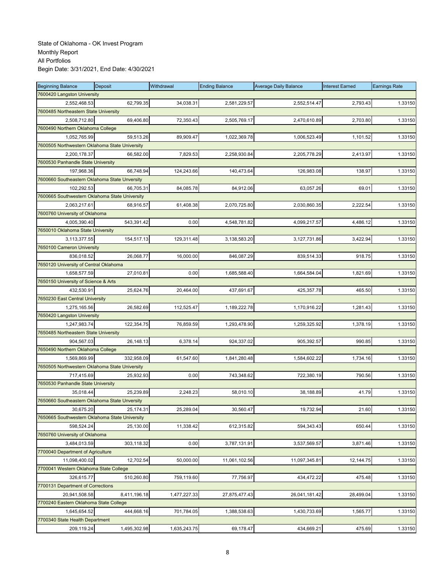| <b>Beginning Balance</b>                       | Deposit      | Withdrawal   | <b>Ending Balance</b> | <b>Average Daily Balance</b> | <b>Interest Earned</b> | <b>Earnings Rate</b> |
|------------------------------------------------|--------------|--------------|-----------------------|------------------------------|------------------------|----------------------|
| 7600420 Langston University                    |              |              |                       |                              |                        |                      |
| 2,552,468.53                                   | 62,799.35    | 34,038.31    | 2,581,229.57          | 2,552,514.47                 | 2,793.43               | 1.33150              |
| 7600485 Northeastern State University          |              |              |                       |                              |                        |                      |
| 2,508,712.80                                   | 69,406.80    | 72,350.43    | 2,505,769.17          | 2,470,610.89                 | 2,703.80               | 1.33150              |
| 7600490 Northern Oklahoma College              |              |              |                       |                              |                        |                      |
| 1,052,765.99                                   | 59,513.26    | 89,909.47    | 1,022,369.78          | 1,006,523.49                 | 1,101.52               | 1.33150              |
| 7600505 Northwestern Oklahoma State University |              |              |                       |                              |                        |                      |
| 2,200,178.37                                   | 66,582.00    | 7,829.53     | 2,258,930.84          | 2,205,778.29                 | 2,413.97               | 1.33150              |
| 7600530 Panhandle State University             |              |              |                       |                              |                        |                      |
| 197,968.36                                     | 66,748.94    | 124,243.66   | 140,473.64            | 126,983.08                   | 138.97                 | 1.33150              |
| 7600660 Southeastern Oklahoma State Unversity  |              |              |                       |                              |                        |                      |
| 102,292.53                                     | 66,705.31    | 84,085.78    | 84,912.06             | 63,057.26                    | 69.01                  | 1.33150              |
| 7600665 Southwestern Oklahoma State University |              |              |                       |                              |                        |                      |
| 2,063,217.61                                   | 68,916.57    | 61,408.38    | 2,070,725.80          | 2,030,860.35                 | 2,222.54               | 1.33150              |
| 7600760 University of Oklahoma                 |              |              |                       |                              |                        |                      |
| 4,005,390.40                                   | 543,391.42   | 0.00         | 4,548,781.82          | 4,099,217.57                 | 4,486.12               | 1.33150              |
| 7650010 Oklahoma State University              |              |              |                       |                              |                        |                      |
| 3,113,377.55                                   | 154,517.13   | 129,311.48   | 3,138,583.20          | 3,127,731.86                 | 3,422.94               | 1.33150              |
| 7650100 Cameron University                     |              |              |                       |                              |                        |                      |
| 836,018.52                                     | 26,068.77    | 16,000.00    | 846,087.29            | 839,514.33                   | 918.75                 | 1.33150              |
| 7650120 University of Central Oklahoma         |              |              |                       |                              |                        |                      |
| 1,658,577.59                                   | 27,010.81    | 0.00         | 1,685,588.40          | 1,664,584.04                 | 1,821.69               | 1.33150              |
| 7650150 University of Science & Arts           |              |              |                       |                              |                        |                      |
| 432,530.91                                     | 25,624.76    | 20.464.00    | 437,691.67            | 425,357.78                   | 465.50                 | 1.33150              |
| 7650230 East Central University                |              |              |                       |                              |                        |                      |
| 1,275,165.56                                   | 26,582.69    | 112,525.47   | 1,189,222.78          | 1,170,916.22                 | 1,281.43               | 1.33150              |
| 7650420 Langston University                    |              |              |                       |                              |                        |                      |
| 1,247,983.74                                   | 122,354.75   | 76,859.59    | 1,293,478.90          | 1,259,325.92                 | 1,378.19               | 1.33150              |
| 7650485 Northeastern State University          |              |              |                       |                              |                        |                      |
|                                                |              |              |                       |                              |                        |                      |
| 904,567.03                                     | 26,148.13    | 6,378.14     | 924,337.02            | 905,392.57                   | 990.85                 | 1.33150              |
| 7650490 Northern Oklahoma College              |              |              |                       |                              |                        |                      |
| 1,569,869.99                                   | 332,958.09   | 61,547.60    | 1,841,280.48          | 1,584,602.22                 | 1,734.16               | 1.33150              |
| 7650505 Northwestern Oklahoma State University |              |              |                       |                              |                        |                      |
| 717,415.69                                     | 25,932.93    | 0.00         | 743,348.62            | 722,380.19                   | 790.56                 | 1.33150              |
| 7650530 Panhandle State University             |              |              |                       |                              |                        |                      |
| 35,018.44                                      | 25,239.89    | 2,248.23     | 58,010.10             | 38,188.89                    | 41.79                  | 1.33150              |
| 7650660 Southeastern Oklahoma State Unversity  |              |              |                       |                              |                        |                      |
| 30,675.20                                      | 25,174.31    | 25,289.04    | 30,560.47             | 19,732.94                    | 21.60                  | 1.33150              |
| 7650665 Southwestern Oklahoma State University |              |              |                       |                              |                        |                      |
| 598,524.24                                     | 25,130.00    | 11,338.42    | 612,315.82            | 594,343.43                   | 650.44                 | 1.33150              |
| 7650760 University of Oklahoma                 |              |              |                       |                              |                        |                      |
| 3,484,013.59                                   | 303,118.32   | 0.00         | 3,787,131.91          | 3,537,569.57                 | 3,871.46               | 1.33150              |
| 7700040 Department of Agriculture              |              |              |                       |                              |                        |                      |
| 11,098,400.02                                  | 12,702.54    | 50,000.00    | 11,061,102.56         | 11,097,345.81                | 12,144.75              | 1.33150              |
| 7700041 Western Oklahoma State College         |              |              |                       |                              |                        |                      |
| 326,615.77                                     | 510,260.80   | 759,119.60   | 77,756.97             | 434,472.22                   | 475.48                 | 1.33150              |
| 7700131 Department of Corrections              |              |              |                       |                              |                        |                      |
| 20,941,508.58                                  | 8,411,196.18 | 1,477,227.33 | 27,875,477.43         | 26,041,181.42                | 28,499.04              | 1.33150              |
| 7700240 Eastern Oklahoma State College         |              |              |                       |                              |                        |                      |
| 1,645,654.52                                   | 444,668.16   | 701,784.05   | 1,388,538.63          | 1,430,733.69                 | 1,565.77               | 1.33150              |
| 7700340 State Health Department                |              |              |                       |                              |                        |                      |
| 209,119.24                                     | 1,495,302.98 | 1,635,243.75 | 69,178.47             | 434,669.21                   | 475.69                 | 1.33150              |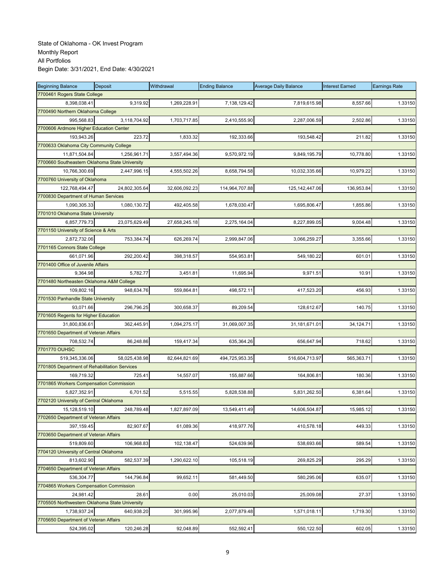| <b>Beginning Balance</b>                               | Deposit       | Withdrawal    | <b>Ending Balance</b> | <b>Average Daily Balance</b> | <b>Interest Earned</b> | <b>Earnings Rate</b> |
|--------------------------------------------------------|---------------|---------------|-----------------------|------------------------------|------------------------|----------------------|
| 7700461 Rogers State College                           |               |               |                       |                              |                        |                      |
| 8,398,038.41                                           | 9,319.92      | 1,269,228.91  | 7,138,129.42          | 7,819,615.98                 | 8,557.66               | 1.33150              |
| 7700490 Northern Oklahoma College                      |               |               |                       |                              |                        |                      |
| 995,568.83                                             | 3,118,704.92  | 1,703,717.85  | 2,410,555.90          | 2,287,006.59                 | 2,502.86               | 1.33150              |
| 7700606 Ardmore Higher Education Center                |               |               |                       |                              |                        |                      |
| 193,943.26                                             | 223.72        | 1,833.32      | 192,333.66            | 193,548.42                   | 211.82                 | 1.33150              |
| 7700633 Oklahoma City Community College                |               |               |                       |                              |                        |                      |
| 11,871,504.84                                          | 1,256,961.71  | 3,557,494.36  | 9,570,972.19          | 9,849,195.79                 | 10,778.80              | 1.33150              |
| 7700660 Southeastern Oklahoma State University         |               |               |                       |                              |                        |                      |
| 10,766,300.69                                          | 2,447,996.15  | 4,555,502.26  | 8,658,794.58          | 10,032,335.66                | 10,979.22              | 1.33150              |
| 7700760 University of Oklahoma                         |               |               |                       |                              |                        |                      |
| 122,768,494.47                                         | 24,802,305.64 | 32,606,092.23 | 114,964,707.88        | 125, 142, 447.06             | 136,953.84             | 1.33150              |
| 7700830 Department of Human Services                   |               |               |                       |                              |                        |                      |
| 1,090,305.33                                           | 1,080,130.72  | 492,405.58    | 1,678,030.47          | 1,695,806.47                 | 1,855.86               | 1.33150              |
| 7701010 Oklahoma State University                      |               |               |                       |                              |                        |                      |
| 6,857,779.73                                           | 23,075,629.49 | 27,658,245.18 | 2,275,164.04          | 8,227,899.05                 | 9,004.48               | 1.33150              |
| 7701150 University of Science & Arts                   |               |               |                       |                              |                        |                      |
| 2,872,732.06                                           | 753,384.74    | 626,269.74    | 2,999,847.06          | 3,066,259.27                 | 3,355.66               | 1.33150              |
| 7701165 Connors State College                          |               |               |                       |                              |                        |                      |
| 661,071.96                                             | 292,200.42    | 398,318.57    | 554,953.81            | 549,180.22                   | 601.01                 | 1.33150              |
| 7701400 Office of Juvenile Affairs                     |               |               |                       |                              |                        |                      |
| 9,364.98                                               | 5,782.77      | 3,451.81      | 11,695.94             | 9,971.51                     | 10.91                  | 1.33150              |
| 7701480 Northeasten Oklahoma A&M College               |               |               |                       |                              |                        |                      |
| 109,802.16                                             | 948,634.76    | 559,864.81    | 498,572.11            | 417,523.20                   | 456.93                 | 1.33150              |
| 7701530 Panhandle State University                     |               |               |                       |                              |                        |                      |
| 93,071.66                                              | 296,796.25    | 300,658.37    | 89,209.54             | 128,612.67                   | 140.75                 | 1.33150              |
| 7701605 Regents for Higher Education                   |               |               |                       |                              |                        |                      |
| 31,800,836.61                                          | 362,445.91    | 1,094,275.17  | 31,069,007.35         | 31,181,671.01                | 34,124.71              | 1.33150              |
| 7701650 Department of Veteran Affairs                  |               |               |                       |                              |                        |                      |
| 708,532.74                                             | 86,248.86     | 159,417.34    | 635,364.26            | 656,647.94                   | 718.62                 | 1.33150              |
| 7701770 OUHSC                                          |               |               |                       |                              |                        |                      |
| 519,345,336.06                                         | 58,025,438.98 | 82,644,821.69 | 494,725,953.35        | 516,604,713.97               | 565,363.71             | 1.33150              |
| 7701805 Department of Rehabilitation Services          |               |               |                       |                              |                        |                      |
| 169,719.32                                             | 725.41        | 14,557.07     | 155,887.66            | 164,806.81                   | 180.36                 | 1.33150              |
| 7701865 Workers Compensation Commission                |               |               |                       |                              |                        |                      |
| 5,827,352.91                                           | 6,701.52      | 5,515.55      | 5,828,538.88          | 5,831,262.50                 | 6,381.64               | 1.33150              |
| 7702120 University of Central Oklahoma                 |               |               |                       |                              |                        |                      |
|                                                        |               |               | 13,549,411.49         |                              | 15,985.12              |                      |
| 15,128,519.10<br>7702650 Department of Veteran Affairs | 248,789.48    | 1,827,897.09  |                       | 14,606,504.87                |                        | 1.33150              |
| 397,159.45                                             | 82,907.67     | 61,089.36     | 418,977.76            | 410,578.18                   | 449.33                 | 1.33150              |
| 7703650 Department of Veteran Affairs                  |               |               |                       |                              |                        |                      |
| 519,809.60                                             | 106,968.83    | 102,138.47    | 524,639.96            | 538,693.66                   | 589.54                 |                      |
| 7704120 University of Central Oklahoma                 |               |               |                       |                              |                        | 1.33150              |
| 813.602.90                                             |               |               |                       |                              |                        |                      |
| 7704650 Department of Veteran Affairs                  | 582,537.39    | 1,290,622.10  | 105,518.19            | 269,825.29                   | 295.29                 | 1.33150              |
|                                                        |               |               |                       |                              |                        |                      |
| 536,304.77                                             | 144,796.84    | 99,652.11     | 581,449.50            | 580,295.06                   | 635.07                 | 1.33150              |
| 7704865 Workers Compensation Commission                |               |               |                       |                              |                        |                      |
| 24,981.42                                              | 28.61         | 0.00          | 25,010.03             | 25,009.08                    | 27.37                  | 1.33150              |
| 7705505 Northwestern Oklahoma State University         |               |               |                       |                              |                        |                      |
| 1,738,937.24                                           | 640,938.20    | 301,995.96    | 2,077,879.48          | 1,571,018.11                 | 1,719.30               | 1.33150              |
| 7705650 Department of Veteran Affairs                  |               |               |                       |                              |                        |                      |
| 524,395.02                                             | 120,246.28    | 92,048.89     | 552,592.41            | 550,122.50                   | 602.05                 | 1.33150              |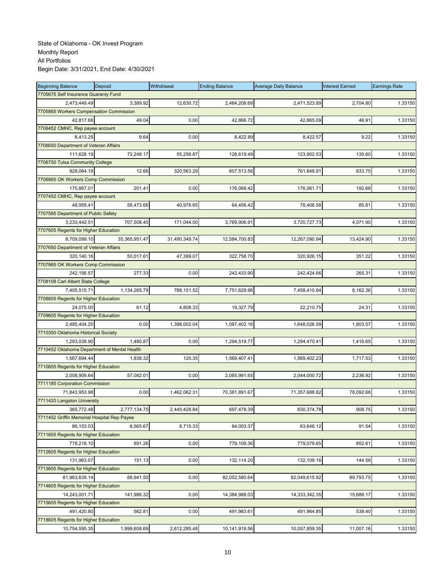| <b>Beginning Balance</b>                     | Deposit       | Withdrawal    | <b>Ending Balance</b> | <b>Average Daily Balance</b> | <b>Interest Earned</b> | <b>Earnings Rate</b> |
|----------------------------------------------|---------------|---------------|-----------------------|------------------------------|------------------------|----------------------|
| 7705675 Self Insurance Guaranty Fund         |               |               |                       |                              |                        |                      |
| 2,473,449.49                                 | 3,389.92      | 12,630.72     | 2,464,208.69          | 2,471,523.89                 | 2,704.80               | 1.33150              |
| 7705865 Workers Compensation Commission      |               |               |                       |                              |                        |                      |
| 42,817.68                                    | 49.04         | 0.00          | 42,866.72             | 42,865.09                    | 46.91                  | 1.33150              |
| 7706452 CMHC, Rep payee account              |               |               |                       |                              |                        |                      |
| 8,413.25                                     | 9.64          | 0.00          | 8,422.89              | 8,422.57                     | 9.22                   | 1.33150              |
| 7706650 Department of Veteran Affairs        |               |               |                       |                              |                        |                      |
| 111,628.19                                   | 72,248.17     | 55,256.87     | 128,619.49            | 123,902.53                   | 135.60                 | 1.33150              |
| 7706750 Tulsa Community College              |               |               |                       |                              |                        |                      |
| 928,064.19                                   | 12.66         | 320,563.29    | 607,513.56            | 761,848.91                   | 833.75                 | 1.33150              |
| 7706865 OK Workers Comp Commission           |               |               |                       |                              |                        |                      |
| 175,867.01                                   | 201.41        | 0.00          | 176,068.42            | 176,061.71                   | 192.68                 | 1.33150              |
| 7707452 CMHC, Rep payee account              |               |               |                       |                              |                        |                      |
| 48,959.41                                    | 56,473.66     | 40,976.65     | 64,456.42             | 78,406.58                    | 85.81                  | 1.33150              |
| 7707585 Department of Public Safety          |               |               |                       |                              |                        |                      |
| 3,233,442.51                                 | 707,508.40    | 171,044.00    | 3,769,906.91          | 3,720,727.73                 | 4,071.90               | 1.33150              |
| 7707605 Regents for Higher Education         |               |               |                       |                              |                        |                      |
| 8,709,099.10                                 | 35,365,951.47 | 31,490,349.74 | 12,584,700.83         | 12,267,090.94                | 13,424.90              | 1.33150              |
| 7707650 Department of Veteran Affairs        |               |               |                       |                              |                        |                      |
| 320,140.16                                   | 50,017.61     | 47,399.07     | 322,758.70            | 320,926.15                   | 351.22                 | 1.33150              |
| 7707865 OK Workers Comp Commission           |               |               |                       |                              |                        |                      |
| 242,156.57                                   | 277.33        | 0.00          | 242,433.90            | 242,424.66                   | 265.31                 | 1.33150              |
| 7708108 Carl Albert State College            |               |               |                       |                              |                        |                      |
| 7,405,515.71                                 | 1.134.265.79  | 788,151.52    | 7,751,629.98          | 7,458,410.84                 | 8,162.36               | 1.33150              |
| 7708605 Regents for Higher Education         |               |               |                       |                              |                        |                      |
| 24,075.00                                    | 61.12         | 4,808.33      | 19,327.79             | 22,210.75                    | 24.31                  | 1.33150              |
| 7709605 Regents for Higher Education         |               |               |                       |                              |                        |                      |
| 2,485,404.20                                 | 0.00          | 1,398,002.04  | 1,087,402.16          | 1,648,026.59                 | 1,803.57               | 1.33150              |
| 7710350 Oklahoma Historical Society          |               |               |                       |                              |                        |                      |
|                                              |               |               |                       |                              |                        |                      |
| 1,293,038.90                                 | 1,480.87      | 0.00          | 1,294,519.77          | 1,294,470.41                 | 1,416.65               | 1.33150              |
| 7710452 Oklahoma Department of Mental Health |               |               |                       |                              |                        |                      |
| 1,567,694.44                                 | 1,838.32      | 125.35        | 1,569,407.41          | 1,569,402.23                 | 1,717.53               | 1.33150              |
| 7710605 Regents for Higher Education         |               |               |                       |                              |                        |                      |
| 2,008,909.64                                 | 57,082.01     | 0.00          | 2,065,991.65          | 2,044,000.72                 | 2,236.92               | 1.33150              |
| 7711185 Corporation Commission               |               |               |                       |                              |                        |                      |
| 71,843,953.98                                | 0.00          | 1,462,062.31  | 70,381,891.67         | 71,357,688.82                | 78,092.68              | 1.33150              |
| 7711420 Langston University                  |               |               |                       |                              |                        |                      |
| 365,772.48                                   | 2,777,134.75  | 2,445,428.84  | 697,478.39            | 830,374.78                   | 908.75                 | 1.33150              |
| 7711452 Griffin Memorial Hospital Rep Payee  |               |               |                       |                              |                        |                      |
| 86,153.03                                    | 6,565.67      | 8,715.33      | 84,003.37             | 83,646.12                    | 91.54                  | 1.33150              |
| 7711605 Regents for Higher Education         |               |               |                       |                              |                        |                      |
| 778,218.10                                   | 891.26        | 0.00          | 779,109.36            | 779,079.65                   | 852.61                 | 1.33150              |
| 7712605 Regents for Higher Education         |               |               |                       |                              |                        |                      |
| 131,963.07                                   | 151.13        | 0.00          | 132,114.20            | 132,109.16                   | 144.58                 | 1.33150              |
| 7713605 Regents for Higher Education         |               |               |                       |                              |                        |                      |
| 81,963,639.14                                | 88,941.50     | 0.00          | 82,052,580.64         | 82,049,615.92                | 89,793.75              | 1.33150              |
| 7714605 Regents for Higher Education         |               |               |                       |                              |                        |                      |
| 14,243,001.71                                | 141,986.32    | 0.00          | 14,384,988.03         | 14,333,342.35                | 15,686.17              | 1.33150              |
| 7715605 Regents for Higher Education         |               |               |                       |                              |                        |                      |
| 491,420.80                                   | 562.81        | 0.00          | 491,983.61            | 491,964.85                   | 538.40                 | 1.33150              |
| 7718605 Regents for Higher Education         |               |               |                       |                              |                        |                      |
| 10,754,595.35                                | 1,999,608.69  | 2,612,285.48  | 10,141,918.56         | 10,057,859.35                | 11,007.16              | 1.33150              |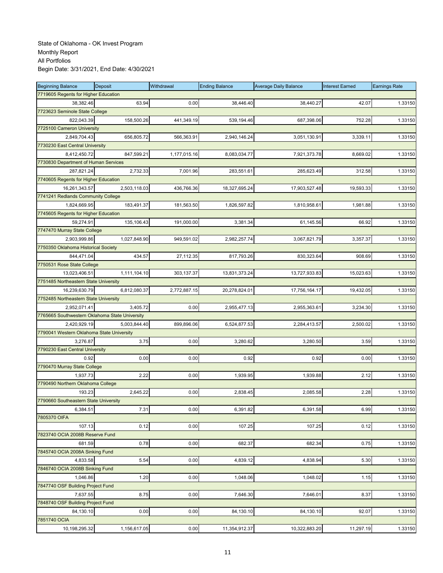| <b>Beginning Balance</b>                       | <b>Deposit</b> | Withdrawal   | <b>Ending Balance</b> | <b>Average Daily Balance</b> | <b>Interest Earned</b> | <b>Earnings Rate</b> |
|------------------------------------------------|----------------|--------------|-----------------------|------------------------------|------------------------|----------------------|
| 7719605 Regents for Higher Education           |                |              |                       |                              |                        |                      |
| 38,382.46                                      | 63.94          | 0.00         | 38,446.40             | 38,440.27                    | 42.07                  | 1.33150              |
| 7723623 Seminole State College                 |                |              |                       |                              |                        |                      |
| 822,043.39                                     | 158,500.26     | 441,349.19   | 539,194.46            | 687,398.06                   | 752.28                 | 1.33150              |
| 7725100 Cameron University                     |                |              |                       |                              |                        |                      |
| 2,849,704.43                                   | 656,805.72     | 566,363.91   | 2,940,146.24          | 3,051,130.91                 | 3,339.11               | 1.33150              |
| 7730230 East Central University                |                |              |                       |                              |                        |                      |
| 8,412,450.72                                   | 847,599.21     | 1,177,015.16 | 8,083,034.77          | 7,921,373.78                 | 8,669.02               | 1.33150              |
| 7730830 Department of Human Services           |                |              |                       |                              |                        |                      |
| 287,821.24                                     | 2,732.33       | 7,001.96     | 283,551.61            | 285,623.49                   | 312.58                 | 1.33150              |
| 7740605 Regents for Higher Education           |                |              |                       |                              |                        |                      |
| 16,261,343.57                                  | 2,503,118.03   | 436,766.36   | 18,327,695.24         | 17,903,527.48                | 19,593.33              | 1.33150              |
| 7741241 Redlands Community College             |                |              |                       |                              |                        |                      |
| 1,824,669.95                                   | 183,491.37     | 181,563.50   | 1,826,597.82          | 1,810,958.61                 | 1,981.88               | 1.33150              |
| 7745605 Regents for Higher Education           |                |              |                       |                              |                        |                      |
| 59,274.91                                      | 135,106.43     | 191,000.00   | 3,381.34              | 61,145.56                    | 66.92                  | 1.33150              |
| 7747470 Murray State College                   |                |              |                       |                              |                        |                      |
| 2,903,999.86                                   | 1,027,848.90   | 949,591.02   | 2,982,257.74          | 3,067,821.79                 | 3,357.37               | 1.33150              |
| 7750350 Oklahoma Historical Society            |                |              |                       |                              |                        |                      |
| 844,471.04                                     | 434.57         | 27,112.35    | 817,793.26            | 830,323.64                   | 908.69                 | 1.33150              |
| 7750531 Rose State College                     |                |              |                       |                              |                        |                      |
| 13,023,406.51                                  | 1,111,104.10   | 303,137.37   | 13,831,373.24         | 13,727,933.83                | 15,023.63              | 1.33150              |
| 7751485 Northeastern State University          |                |              |                       |                              |                        |                      |
| 16,239,630.79                                  | 6,812,080.37   | 2,772,887.15 | 20,278,824.01         | 17,756,164.17                | 19,432.05              | 1.33150              |
| 7752485 Northeastern State University          |                |              |                       |                              |                        |                      |
| 2,952,071.41                                   | 3,405.72       | 0.00         | 2,955,477.13          | 2,955,363.61                 | 3,234.30               | 1.33150              |
| 7765665 Southwestern Oklahoma State University |                |              |                       |                              |                        |                      |
| 2,420,929.19                                   | 5,003,844.40   | 899,896.06   | 6,524,877.53          | 2,284,413.57                 | 2,500.02               | 1.33150              |
| 7790041 Western Oklahoma State University      |                |              |                       |                              |                        |                      |
| 3,276.87                                       | 3.75           | 0.00         | 3,280.62              | 3,280.50                     | 3.59                   | 1.33150              |
| 7790230 East Central University                |                |              |                       |                              |                        |                      |
| 0.92                                           | 0.00           | 0.00         | 0.92                  | 0.92                         | 0.00                   | 1.33150              |
| 7790470 Murray State College                   |                |              |                       |                              |                        |                      |
| 1,937.73                                       | 2.22           | 0.00         | 1,939.95              | 1,939.88                     | 2.12                   | 1.33150              |
| 7790490 Northern Oklahoma College              |                |              |                       |                              |                        |                      |
| 193.23                                         | 2,645.22       | 0.00         | 2,838.45              | 2.085.58                     | 2.28                   | 1.33150              |
| 7790660 Southeastern State University          |                |              |                       |                              |                        |                      |
| 6,384.51                                       |                |              |                       |                              |                        |                      |
| 7805370 OIFA                                   | 7.31           | 0.00         | 6,391.82              | 6,391.58                     | 6.99                   | 1.33150              |
| 107.13                                         | 0.12           | 0.00         | 107.25                | 107.25                       | 0.12                   | 1.33150              |
| 7823740 OCIA 2008B Reserve Fund                |                |              |                       |                              |                        |                      |
| 681.59                                         | 0.78           | 0.00         | 682.37                | 682.34                       | 0.75                   |                      |
| 7845740 OCIA 2008A Sinking Fund                |                |              |                       |                              |                        | 1.33150              |
|                                                |                |              |                       |                              |                        |                      |
| 4,833.58<br>7846740 OCIA 2008B Sinking Fund    | 5.54           | 0.00         | 4,839.12              | 4,838.94                     | 5.30                   | 1.33150              |
|                                                |                |              |                       |                              |                        |                      |
| 1,046.86                                       | 1.20           | 0.00         | 1,048.06              | 1,048.02                     | 1.15                   | 1.33150              |
| 7847740 OSF Building Project Fund              |                |              |                       |                              |                        |                      |
| 7,637.55                                       | 8.75           | 0.00         | 7,646.30              | 7,646.01                     | 8.37                   | 1.33150              |
| 7848740 OSF Building Project Fund              |                |              |                       |                              |                        |                      |
| 84,130.10                                      | 0.00           | 0.00         | 84,130.10             | 84,130.10                    | 92.07                  | 1.33150              |
| 7851740 OCIA                                   |                |              |                       |                              |                        |                      |
| 10,198,295.32                                  | 1,156,617.05   | 0.00         | 11,354,912.37         | 10,322,883.20                | 11,297.19              | 1.33150              |